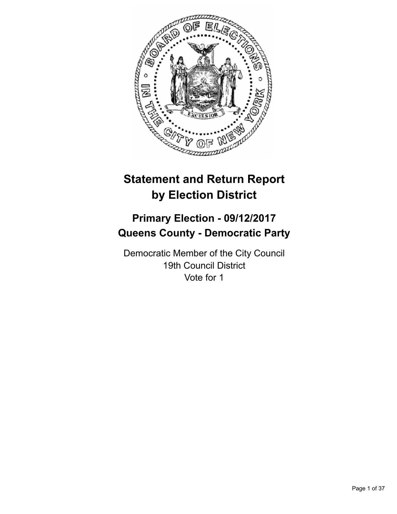

# **Statement and Return Report by Election District**

# **Primary Election - 09/12/2017 Queens County - Democratic Party**

Democratic Member of the City Council 19th Council District Vote for 1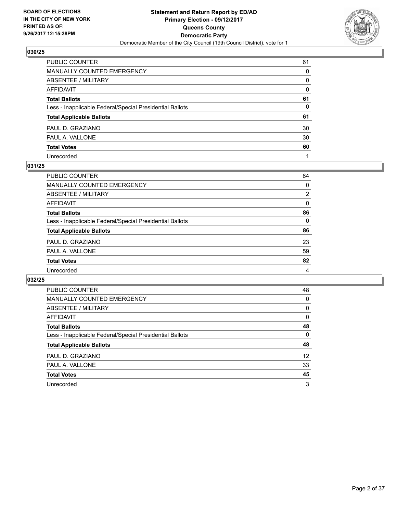

| PUBLIC COUNTER                                           | 61       |
|----------------------------------------------------------|----------|
| <b>MANUALLY COUNTED EMERGENCY</b>                        | 0        |
| <b>ABSENTEE / MILITARY</b>                               | 0        |
| <b>AFFIDAVIT</b>                                         | $\Omega$ |
| <b>Total Ballots</b>                                     | 61       |
| Less - Inapplicable Federal/Special Presidential Ballots | 0        |
| <b>Total Applicable Ballots</b>                          | 61       |
| PAUL D. GRAZIANO                                         | 30       |
| PAUL A. VALLONE                                          | 30       |
| <b>Total Votes</b>                                       | 60       |
| Unrecorded                                               |          |

#### **031/25**

| <b>PUBLIC COUNTER</b>                                    | 84       |
|----------------------------------------------------------|----------|
| <b>MANUALLY COUNTED EMERGENCY</b>                        | $\Omega$ |
| ABSENTEE / MILITARY                                      | 2        |
| AFFIDAVIT                                                | $\Omega$ |
| <b>Total Ballots</b>                                     | 86       |
| Less - Inapplicable Federal/Special Presidential Ballots | $\Omega$ |
| <b>Total Applicable Ballots</b>                          | 86       |
| PAUL D. GRAZIANO                                         | 23       |
| PAUL A. VALLONE                                          | 59       |
| <b>Total Votes</b>                                       | 82       |
| Unrecorded                                               | 4        |
|                                                          |          |

| <b>PUBLIC COUNTER</b>                                    | 48 |
|----------------------------------------------------------|----|
| <b>MANUALLY COUNTED EMERGENCY</b>                        | 0  |
| ABSENTEE / MILITARY                                      | 0  |
| AFFIDAVIT                                                | 0  |
| <b>Total Ballots</b>                                     | 48 |
| Less - Inapplicable Federal/Special Presidential Ballots | 0  |
| <b>Total Applicable Ballots</b>                          | 48 |
| PAUL D. GRAZIANO                                         | 12 |
| PAUL A. VALLONE                                          | 33 |
| <b>Total Votes</b>                                       | 45 |
| Unrecorded                                               | 3  |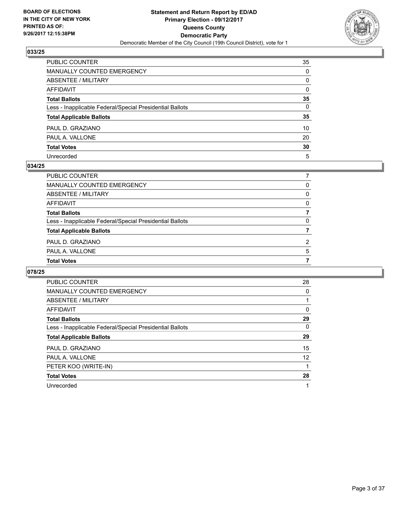

| PUBLIC COUNTER                                           | 35           |
|----------------------------------------------------------|--------------|
| MANUALLY COUNTED EMERGENCY                               | 0            |
| ABSENTEE / MILITARY                                      | 0            |
| AFFIDAVIT                                                | $\mathbf{0}$ |
| Total Ballots                                            | 35           |
| Less - Inapplicable Federal/Special Presidential Ballots | $\mathbf{0}$ |
| <b>Total Applicable Ballots</b>                          | 35           |
| PAUL D. GRAZIANO                                         | 10           |
| PAUL A. VALLONE                                          | 20           |
| <b>Total Votes</b>                                       | 30           |
| Unrecorded                                               | 5            |

#### **034/25**

| <b>Total Votes</b>                                       |          |
|----------------------------------------------------------|----------|
| PAUL A. VALLONE                                          | 5        |
| PAUL D. GRAZIANO                                         | 2        |
| <b>Total Applicable Ballots</b>                          |          |
| Less - Inapplicable Federal/Special Presidential Ballots | $\Omega$ |
| <b>Total Ballots</b>                                     |          |
| AFFIDAVIT                                                | 0        |
| ABSENTEE / MILITARY                                      | 0        |
| MANUALLY COUNTED EMERGENCY                               | 0        |
| PUBLIC COUNTER                                           |          |

| <b>PUBLIC COUNTER</b>                                    | 28 |
|----------------------------------------------------------|----|
| <b>MANUALLY COUNTED EMERGENCY</b>                        | 0  |
| ABSENTEE / MILITARY                                      |    |
| AFFIDAVIT                                                | 0  |
| <b>Total Ballots</b>                                     | 29 |
| Less - Inapplicable Federal/Special Presidential Ballots | 0  |
| <b>Total Applicable Ballots</b>                          | 29 |
| PAUL D. GRAZIANO                                         | 15 |
| PAUL A. VALLONE                                          | 12 |
| PETER KOO (WRITE-IN)                                     |    |
| <b>Total Votes</b>                                       | 28 |
| Unrecorded                                               | 1  |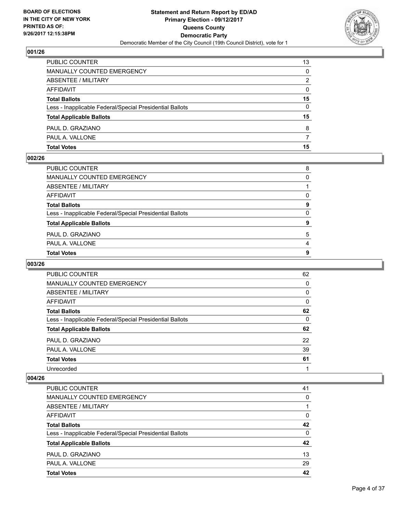

| <b>Total Votes</b>                                       | 15 |
|----------------------------------------------------------|----|
| PAUL A. VALLONE                                          |    |
| PAUL D. GRAZIANO                                         | 8  |
| <b>Total Applicable Ballots</b>                          | 15 |
| Less - Inapplicable Federal/Special Presidential Ballots | 0  |
| <b>Total Ballots</b>                                     | 15 |
| AFFIDAVIT                                                | 0  |
| ABSENTEE / MILITARY                                      | 2  |
| MANUALLY COUNTED EMERGENCY                               | 0  |
| <b>PUBLIC COUNTER</b>                                    | 13 |

#### **002/26**

| PUBLIC COUNTER                                           | 8              |
|----------------------------------------------------------|----------------|
| MANUALLY COUNTED EMERGENCY                               | 0              |
| ABSENTEE / MILITARY                                      |                |
| AFFIDAVIT                                                | 0              |
| Total Ballots                                            | 9              |
| Less - Inapplicable Federal/Special Presidential Ballots | $\mathbf{0}$   |
| <b>Total Applicable Ballots</b>                          | 9              |
| PAUL D. GRAZIANO                                         | 5              |
| PAUL A. VALLONE                                          | $\overline{4}$ |
| <b>Total Votes</b>                                       | 9              |
|                                                          |                |

#### **003/26**

| <b>PUBLIC COUNTER</b>                                    | 62 |
|----------------------------------------------------------|----|
| <b>MANUALLY COUNTED EMERGENCY</b>                        | 0  |
| ABSENTEE / MILITARY                                      | 0  |
| AFFIDAVIT                                                | 0  |
| <b>Total Ballots</b>                                     | 62 |
| Less - Inapplicable Federal/Special Presidential Ballots | 0  |
| <b>Total Applicable Ballots</b>                          | 62 |
| PAUL D. GRAZIANO                                         | 22 |
| PAUL A. VALLONE                                          | 39 |
| <b>Total Votes</b>                                       | 61 |
| Unrecorded                                               |    |

| <b>PUBLIC COUNTER</b>                                    | 41 |
|----------------------------------------------------------|----|
| <b>MANUALLY COUNTED EMERGENCY</b>                        | 0  |
| ABSENTEE / MILITARY                                      |    |
| AFFIDAVIT                                                | 0  |
| <b>Total Ballots</b>                                     | 42 |
| Less - Inapplicable Federal/Special Presidential Ballots | 0  |
| <b>Total Applicable Ballots</b>                          | 42 |
| PAUL D. GRAZIANO                                         | 13 |
| PAUL A. VALLONE                                          | 29 |
| <b>Total Votes</b>                                       | 42 |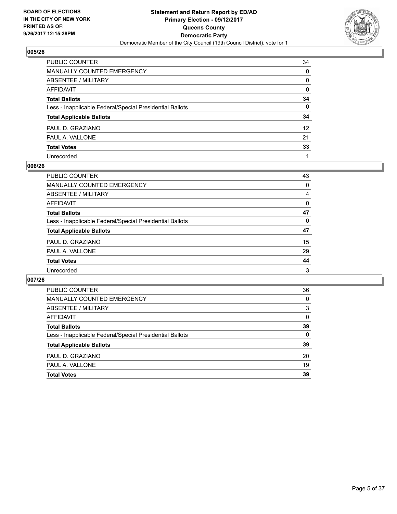

| PUBLIC COUNTER                                           | 34              |
|----------------------------------------------------------|-----------------|
| <b>MANUALLY COUNTED EMERGENCY</b>                        | 0               |
| ABSENTEE / MILITARY                                      | 0               |
| <b>AFFIDAVIT</b>                                         | $\mathbf{0}$    |
| <b>Total Ballots</b>                                     | 34              |
| Less - Inapplicable Federal/Special Presidential Ballots | $\mathbf{0}$    |
| <b>Total Applicable Ballots</b>                          | 34              |
| PAUL D. GRAZIANO                                         | 12 <sup>2</sup> |
| PAUL A. VALLONE                                          | 21              |
| <b>Total Votes</b>                                       | 33              |
| Unrecorded                                               |                 |

#### **006/26**

| PUBLIC COUNTER                                           | 43 |
|----------------------------------------------------------|----|
| <b>MANUALLY COUNTED EMERGENCY</b>                        | 0  |
| ABSENTEE / MILITARY                                      | 4  |
| AFFIDAVIT                                                | 0  |
| <b>Total Ballots</b>                                     | 47 |
| Less - Inapplicable Federal/Special Presidential Ballots | 0  |
| <b>Total Applicable Ballots</b>                          | 47 |
| PAUL D. GRAZIANO                                         | 15 |
| PAUL A. VALLONE                                          | 29 |
| <b>Total Votes</b>                                       | 44 |
| Unrecorded                                               | 3  |

| <b>PUBLIC COUNTER</b>                                    | 36 |
|----------------------------------------------------------|----|
| <b>MANUALLY COUNTED EMERGENCY</b>                        | 0  |
| ABSENTEE / MILITARY                                      | 3  |
| AFFIDAVIT                                                | 0  |
| <b>Total Ballots</b>                                     | 39 |
| Less - Inapplicable Federal/Special Presidential Ballots | 0  |
| <b>Total Applicable Ballots</b>                          | 39 |
| PAUL D. GRAZIANO                                         | 20 |
| PAUL A. VALLONE                                          | 19 |
| <b>Total Votes</b>                                       | 39 |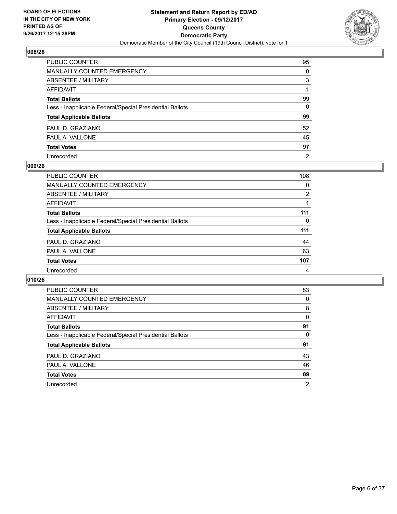

| PUBLIC COUNTER                                           | 95             |
|----------------------------------------------------------|----------------|
| <b>MANUALLY COUNTED EMERGENCY</b>                        | $\Omega$       |
| ABSENTEE / MILITARY                                      | 3              |
| AFFIDAVIT                                                |                |
| <b>Total Ballots</b>                                     | 99             |
| Less - Inapplicable Federal/Special Presidential Ballots | $\mathbf{0}$   |
| <b>Total Applicable Ballots</b>                          | 99             |
| PAUL D. GRAZIANO                                         | 52             |
| PAUL A. VALLONE                                          | 45             |
| <b>Total Votes</b>                                       | 97             |
| Unrecorded                                               | $\overline{2}$ |

#### **009/26**

| PUBLIC COUNTER                                           | 108 |
|----------------------------------------------------------|-----|
| <b>MANUALLY COUNTED EMERGENCY</b>                        | 0   |
| ABSENTEE / MILITARY                                      | 2   |
| AFFIDAVIT                                                |     |
| <b>Total Ballots</b>                                     | 111 |
| Less - Inapplicable Federal/Special Presidential Ballots | 0   |
| <b>Total Applicable Ballots</b>                          | 111 |
| PAUL D. GRAZIANO                                         | 44  |
| PAUL A. VALLONE                                          | 63  |
| <b>Total Votes</b>                                       | 107 |
| Unrecorded                                               | 4   |

| <b>PUBLIC COUNTER</b>                                    | 83             |
|----------------------------------------------------------|----------------|
| MANUALLY COUNTED EMERGENCY                               | 0              |
| ABSENTEE / MILITARY                                      | 8              |
| AFFIDAVIT                                                | 0              |
| <b>Total Ballots</b>                                     | 91             |
| Less - Inapplicable Federal/Special Presidential Ballots | 0              |
| <b>Total Applicable Ballots</b>                          | 91             |
| PAUL D. GRAZIANO                                         | 43             |
| PAUL A. VALLONE                                          | 46             |
| <b>Total Votes</b>                                       | 89             |
| Unrecorded                                               | $\overline{2}$ |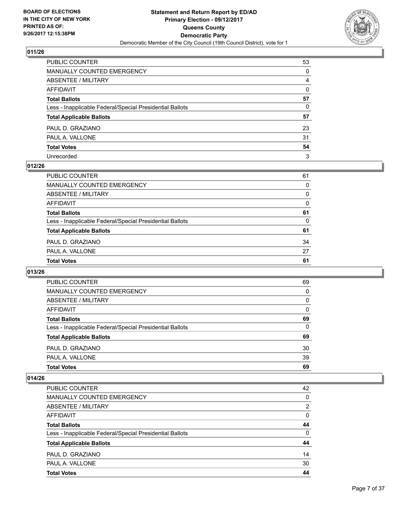

| PUBLIC COUNTER                                           | 53           |
|----------------------------------------------------------|--------------|
| MANUALLY COUNTED EMERGENCY                               | 0            |
| ABSENTEE / MILITARY                                      | 4            |
| AFFIDAVIT                                                | $\mathbf{0}$ |
| Total Ballots                                            | 57           |
| Less - Inapplicable Federal/Special Presidential Ballots | 0            |
| <b>Total Applicable Ballots</b>                          | 57           |
| PAUL D. GRAZIANO                                         | 23           |
| PAUL A. VALLONE                                          | 31           |
| <b>Total Votes</b>                                       | 54           |
| Unrecorded                                               | 3            |

#### **012/26**

| <b>Total Votes</b>                                       | 61       |
|----------------------------------------------------------|----------|
| PAUL A. VALLONE                                          | 27       |
| PAUL D. GRAZIANO                                         | 34       |
| <b>Total Applicable Ballots</b>                          | 61       |
| Less - Inapplicable Federal/Special Presidential Ballots | 0        |
| <b>Total Ballots</b>                                     | 61       |
| AFFIDAVIT                                                | 0        |
| ABSENTEE / MILITARY                                      | $\Omega$ |
| MANUALLY COUNTED EMERGENCY                               | 0        |
| PUBLIC COUNTER                                           | 61       |

## **013/26**

| <b>PUBLIC COUNTER</b>                                    | 69 |
|----------------------------------------------------------|----|
| MANUALLY COUNTED EMERGENCY                               | 0  |
| ABSENTEE / MILITARY                                      | 0  |
| AFFIDAVIT                                                | 0  |
| <b>Total Ballots</b>                                     | 69 |
| Less - Inapplicable Federal/Special Presidential Ballots | 0  |
| <b>Total Applicable Ballots</b>                          | 69 |
| PAUL D. GRAZIANO                                         | 30 |
| PAUL A. VALLONE                                          | 39 |
| <b>Total Votes</b>                                       | 69 |

| <b>PUBLIC COUNTER</b>                                    | 42             |
|----------------------------------------------------------|----------------|
| <b>MANUALLY COUNTED EMERGENCY</b>                        | 0              |
| ABSENTEE / MILITARY                                      | $\overline{2}$ |
| AFFIDAVIT                                                | $\Omega$       |
| <b>Total Ballots</b>                                     | 44             |
| Less - Inapplicable Federal/Special Presidential Ballots | 0              |
| <b>Total Applicable Ballots</b>                          | 44             |
| PAUL D. GRAZIANO                                         | 14             |
| PAUL A. VALLONE                                          | 30             |
| <b>Total Votes</b>                                       | 44             |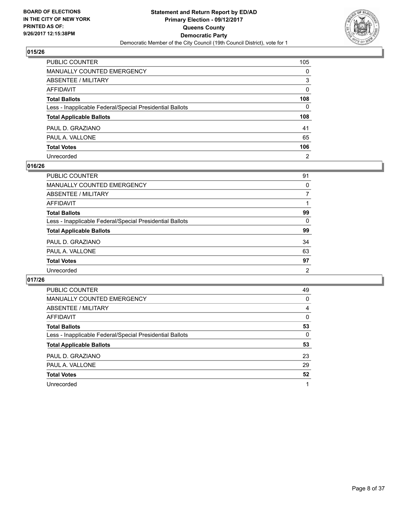

| PUBLIC COUNTER                                           | 105            |
|----------------------------------------------------------|----------------|
| <b>MANUALLY COUNTED EMERGENCY</b>                        | 0              |
| ABSENTEE / MILITARY                                      | 3              |
| <b>AFFIDAVIT</b>                                         | 0              |
| <b>Total Ballots</b>                                     | 108            |
| Less - Inapplicable Federal/Special Presidential Ballots | $\mathbf{0}$   |
| <b>Total Applicable Ballots</b>                          | 108            |
| PAUL D. GRAZIANO                                         | 41             |
| PAUL A. VALLONE                                          | 65             |
| <b>Total Votes</b>                                       | 106            |
| Unrecorded                                               | $\overline{2}$ |

#### **016/26**

| PUBLIC COUNTER                                           | 91 |
|----------------------------------------------------------|----|
| <b>MANUALLY COUNTED EMERGENCY</b>                        | 0  |
| ABSENTEE / MILITARY                                      | 7  |
| AFFIDAVIT                                                |    |
| <b>Total Ballots</b>                                     | 99 |
| Less - Inapplicable Federal/Special Presidential Ballots | 0  |
| <b>Total Applicable Ballots</b>                          | 99 |
| PAUL D. GRAZIANO                                         | 34 |
| PAUL A. VALLONE                                          | 63 |
| <b>Total Votes</b>                                       | 97 |
| Unrecorded                                               | 2  |
|                                                          |    |

| <b>PUBLIC COUNTER</b>                                    | 49 |
|----------------------------------------------------------|----|
| MANUALLY COUNTED EMERGENCY                               | 0  |
| ABSENTEE / MILITARY                                      | 4  |
| AFFIDAVIT                                                | 0  |
| <b>Total Ballots</b>                                     | 53 |
| Less - Inapplicable Federal/Special Presidential Ballots | 0  |
| <b>Total Applicable Ballots</b>                          | 53 |
| PAUL D. GRAZIANO                                         | 23 |
| PAUL A. VALLONE                                          | 29 |
| <b>Total Votes</b>                                       | 52 |
| Unrecorded                                               | 1  |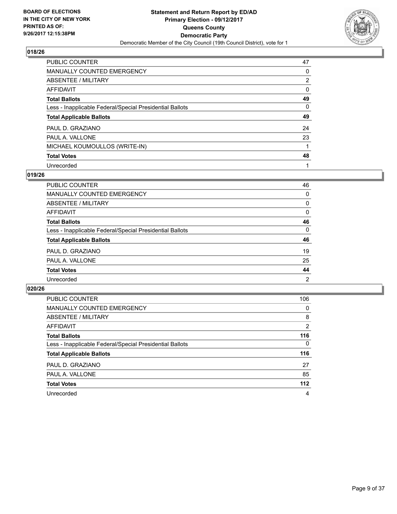

| <b>PUBLIC COUNTER</b>                                    | 47             |
|----------------------------------------------------------|----------------|
| <b>MANUALLY COUNTED EMERGENCY</b>                        | 0              |
| ABSENTEE / MILITARY                                      | $\overline{2}$ |
| AFFIDAVIT                                                | 0              |
| <b>Total Ballots</b>                                     | 49             |
| Less - Inapplicable Federal/Special Presidential Ballots | 0              |
| <b>Total Applicable Ballots</b>                          | 49             |
| PAUL D. GRAZIANO                                         | 24             |
| PAUL A. VALLONE                                          | 23             |
| MICHAEL KOUMOULLOS (WRITE-IN)                            |                |
| <b>Total Votes</b>                                       | 48             |
| Unrecorded                                               |                |

## **019/26**

| <b>PUBLIC COUNTER</b>                                    | 46       |
|----------------------------------------------------------|----------|
| MANUALLY COUNTED EMERGENCY                               | 0        |
| ABSENTEE / MILITARY                                      | $\Omega$ |
| AFFIDAVIT                                                | 0        |
| <b>Total Ballots</b>                                     | 46       |
| Less - Inapplicable Federal/Special Presidential Ballots | $\Omega$ |
| <b>Total Applicable Ballots</b>                          | 46       |
| PAUL D. GRAZIANO                                         | 19       |
| PAUL A. VALLONE                                          | 25       |
| <b>Total Votes</b>                                       | 44       |
| Unrecorded                                               | 2        |

| PUBLIC COUNTER                                           | 106 |
|----------------------------------------------------------|-----|
| <b>MANUALLY COUNTED EMERGENCY</b>                        | 0   |
| ABSENTEE / MILITARY                                      | 8   |
| AFFIDAVIT                                                | 2   |
| <b>Total Ballots</b>                                     | 116 |
| Less - Inapplicable Federal/Special Presidential Ballots | 0   |
| <b>Total Applicable Ballots</b>                          | 116 |
| PAUL D. GRAZIANO                                         | 27  |
| PAUL A. VALLONE                                          | 85  |
| <b>Total Votes</b>                                       | 112 |
| Unrecorded                                               | 4   |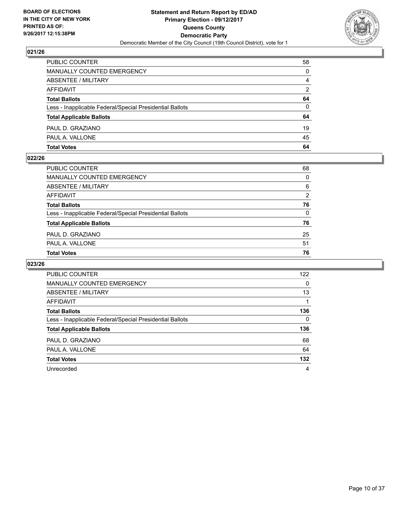

| PUBLIC COUNTER                                           | 58 |
|----------------------------------------------------------|----|
| <b>MANUALLY COUNTED EMERGENCY</b>                        | 0  |
| <b>ABSENTEE / MILITARY</b>                               | 4  |
| AFFIDAVIT                                                | 2  |
| <b>Total Ballots</b>                                     | 64 |
| Less - Inapplicable Federal/Special Presidential Ballots | 0  |
| <b>Total Applicable Ballots</b>                          | 64 |
| PAUL D. GRAZIANO                                         | 19 |
| PAUL A. VALLONE                                          | 45 |
| <b>Total Votes</b>                                       | 64 |

#### **022/26**

| PUBLIC COUNTER                                           | 68       |
|----------------------------------------------------------|----------|
| MANUALLY COUNTED EMERGENCY                               | 0        |
| <b>ABSENTEE / MILITARY</b>                               | 6        |
| AFFIDAVIT                                                | 2        |
| <b>Total Ballots</b>                                     | 76       |
| Less - Inapplicable Federal/Special Presidential Ballots | $\Omega$ |
| <b>Total Applicable Ballots</b>                          | 76       |
| PAUL D. GRAZIANO                                         | 25       |
| PAUL A. VALLONE                                          | 51       |
| <b>Total Votes</b>                                       | 76       |
|                                                          |          |

| <b>PUBLIC COUNTER</b>                                    | 122 |
|----------------------------------------------------------|-----|
| <b>MANUALLY COUNTED EMERGENCY</b>                        | 0   |
| ABSENTEE / MILITARY                                      | 13  |
| AFFIDAVIT                                                |     |
| <b>Total Ballots</b>                                     | 136 |
| Less - Inapplicable Federal/Special Presidential Ballots | 0   |
| <b>Total Applicable Ballots</b>                          | 136 |
| PAUL D. GRAZIANO                                         | 68  |
| PAUL A. VALLONE                                          | 64  |
| <b>Total Votes</b>                                       | 132 |
| Unrecorded                                               | 4   |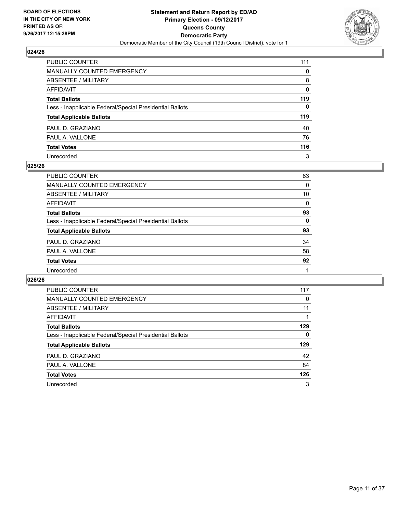

| PUBLIC COUNTER                                           | 111 |
|----------------------------------------------------------|-----|
| <b>MANUALLY COUNTED EMERGENCY</b>                        | 0   |
| <b>ABSENTEE / MILITARY</b>                               | 8   |
| <b>AFFIDAVIT</b>                                         | 0   |
| <b>Total Ballots</b>                                     | 119 |
| Less - Inapplicable Federal/Special Presidential Ballots | 0   |
| <b>Total Applicable Ballots</b>                          | 119 |
| PAUL D. GRAZIANO                                         | 40  |
| PAUL A. VALLONE                                          | 76  |
| <b>Total Votes</b>                                       | 116 |
| Unrecorded                                               | 3   |

#### **025/26**

| <b>PUBLIC COUNTER</b>                                    | 83 |
|----------------------------------------------------------|----|
| <b>MANUALLY COUNTED EMERGENCY</b>                        | 0  |
| ABSENTEE / MILITARY                                      | 10 |
| AFFIDAVIT                                                | 0  |
| <b>Total Ballots</b>                                     | 93 |
| Less - Inapplicable Federal/Special Presidential Ballots | 0  |
| <b>Total Applicable Ballots</b>                          | 93 |
| PAUL D. GRAZIANO                                         | 34 |
| PAUL A. VALLONE                                          | 58 |
| <b>Total Votes</b>                                       | 92 |
| Unrecorded                                               |    |

| <b>PUBLIC COUNTER</b>                                    | 117 |
|----------------------------------------------------------|-----|
| MANUALLY COUNTED EMERGENCY                               | 0   |
| ABSENTEE / MILITARY                                      | 11  |
| AFFIDAVIT                                                |     |
| <b>Total Ballots</b>                                     | 129 |
| Less - Inapplicable Federal/Special Presidential Ballots | 0   |
| <b>Total Applicable Ballots</b>                          | 129 |
| PAUL D. GRAZIANO                                         | 42  |
| PAUL A. VALLONE                                          | 84  |
| <b>Total Votes</b>                                       | 126 |
| Unrecorded                                               | 3   |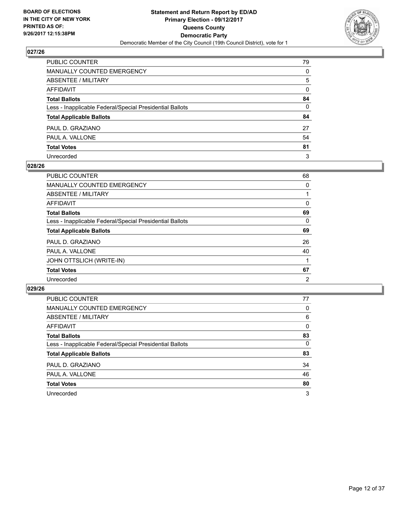

| PUBLIC COUNTER                                           | 79 |
|----------------------------------------------------------|----|
| MANUALLY COUNTED EMERGENCY                               | 0  |
| ABSENTEE / MILITARY                                      | 5  |
| AFFIDAVIT                                                | 0  |
| Total Ballots                                            | 84 |
| Less - Inapplicable Federal/Special Presidential Ballots | 0  |
| <b>Total Applicable Ballots</b>                          | 84 |
| PAUL D. GRAZIANO                                         | 27 |
| PAUL A. VALLONE                                          | 54 |
| <b>Total Votes</b>                                       | 81 |
| Unrecorded                                               | 3  |

#### **028/26**

| <b>PUBLIC COUNTER</b>                                    | 68 |
|----------------------------------------------------------|----|
| <b>MANUALLY COUNTED EMERGENCY</b>                        | 0  |
| ABSENTEE / MILITARY                                      |    |
| AFFIDAVIT                                                | 0  |
| <b>Total Ballots</b>                                     | 69 |
| Less - Inapplicable Federal/Special Presidential Ballots | 0  |
| <b>Total Applicable Ballots</b>                          | 69 |
| PAUL D. GRAZIANO                                         | 26 |
| PAUL A. VALLONE                                          | 40 |
| JOHN OTTSLICH (WRITE-IN)                                 |    |
| <b>Total Votes</b>                                       | 67 |
| Unrecorded                                               | 2  |

| <b>PUBLIC COUNTER</b>                                    | 77 |
|----------------------------------------------------------|----|
| <b>MANUALLY COUNTED EMERGENCY</b>                        | 0  |
| ABSENTEE / MILITARY                                      | 6  |
| <b>AFFIDAVIT</b>                                         | 0  |
| <b>Total Ballots</b>                                     | 83 |
| Less - Inapplicable Federal/Special Presidential Ballots | 0  |
| <b>Total Applicable Ballots</b>                          | 83 |
| PAUL D. GRAZIANO                                         | 34 |
| PAUL A. VALLONE                                          | 46 |
| <b>Total Votes</b>                                       | 80 |
| Unrecorded                                               | 3  |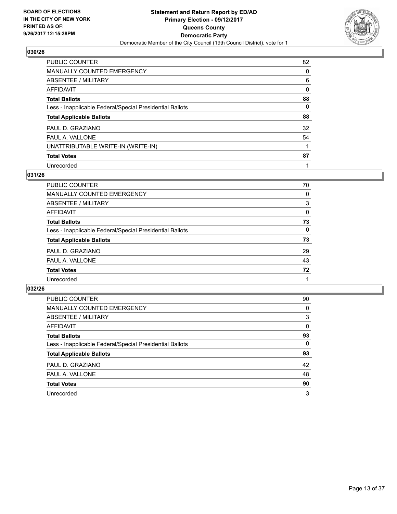

| PUBLIC COUNTER                                           | 82 |
|----------------------------------------------------------|----|
| <b>MANUALLY COUNTED EMERGENCY</b>                        | 0  |
| ABSENTEE / MILITARY                                      | 6  |
| AFFIDAVIT                                                | 0  |
| <b>Total Ballots</b>                                     | 88 |
| Less - Inapplicable Federal/Special Presidential Ballots | 0  |
| <b>Total Applicable Ballots</b>                          | 88 |
| PAUL D. GRAZIANO                                         | 32 |
| PAUL A. VALLONE                                          | 54 |
| UNATTRIBUTABLE WRITE-IN (WRITE-IN)                       |    |
| <b>Total Votes</b>                                       | 87 |
| Unrecorded                                               |    |

#### **031/26**

| PUBLIC COUNTER                                           | 70       |
|----------------------------------------------------------|----------|
| MANUALLY COUNTED EMERGENCY                               | 0        |
| ABSENTEE / MILITARY                                      | 3        |
| AFFIDAVIT                                                | $\Omega$ |
| <b>Total Ballots</b>                                     | 73       |
| Less - Inapplicable Federal/Special Presidential Ballots | $\Omega$ |
| <b>Total Applicable Ballots</b>                          | 73       |
| PAUL D. GRAZIANO                                         | 29       |
| PAUL A. VALLONE                                          | 43       |
| <b>Total Votes</b>                                       | 72       |
| Unrecorded                                               |          |

| PUBLIC COUNTER                                           | 90 |
|----------------------------------------------------------|----|
| MANUALLY COUNTED EMERGENCY                               | 0  |
| ABSENTEE / MILITARY                                      | 3  |
| AFFIDAVIT                                                | 0  |
| <b>Total Ballots</b>                                     | 93 |
| Less - Inapplicable Federal/Special Presidential Ballots | 0  |
| <b>Total Applicable Ballots</b>                          | 93 |
| PAUL D. GRAZIANO                                         | 42 |
| PAUL A. VALLONE                                          | 48 |
| <b>Total Votes</b>                                       | 90 |
| Unrecorded                                               | 3  |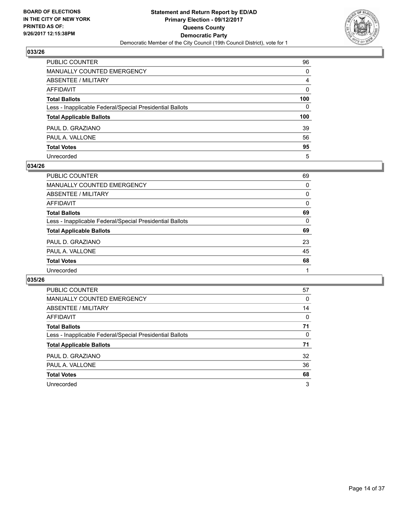

| PUBLIC COUNTER                                           | 96       |
|----------------------------------------------------------|----------|
| MANUALLY COUNTED EMERGENCY                               | $\Omega$ |
| <b>ABSENTEE / MILITARY</b>                               | 4        |
| <b>AFFIDAVIT</b>                                         | $\Omega$ |
| <b>Total Ballots</b>                                     | 100      |
| Less - Inapplicable Federal/Special Presidential Ballots | 0        |
| <b>Total Applicable Ballots</b>                          | 100      |
| PAUL D. GRAZIANO                                         | 39       |
| PAUL A. VALLONE                                          | 56       |
| <b>Total Votes</b>                                       | 95       |
| Unrecorded                                               | 5        |

#### **034/26**

| PUBLIC COUNTER                                           | 69 |
|----------------------------------------------------------|----|
| <b>MANUALLY COUNTED EMERGENCY</b>                        | 0  |
| ABSENTEE / MILITARY                                      | 0  |
| AFFIDAVIT                                                | 0  |
| <b>Total Ballots</b>                                     | 69 |
| Less - Inapplicable Federal/Special Presidential Ballots | 0  |
| <b>Total Applicable Ballots</b>                          | 69 |
| PAUL D. GRAZIANO                                         | 23 |
| PAUL A. VALLONE                                          | 45 |
| <b>Total Votes</b>                                       | 68 |
| Unrecorded                                               |    |
|                                                          |    |

| <b>PUBLIC COUNTER</b>                                    | 57 |
|----------------------------------------------------------|----|
| MANUALLY COUNTED EMERGENCY                               | 0  |
| ABSENTEE / MILITARY                                      | 14 |
| AFFIDAVIT                                                | 0  |
| <b>Total Ballots</b>                                     | 71 |
| Less - Inapplicable Federal/Special Presidential Ballots | 0  |
| <b>Total Applicable Ballots</b>                          | 71 |
| PAUL D. GRAZIANO                                         | 32 |
| PAUL A. VALLONE                                          | 36 |
| <b>Total Votes</b>                                       | 68 |
| Unrecorded                                               | 3  |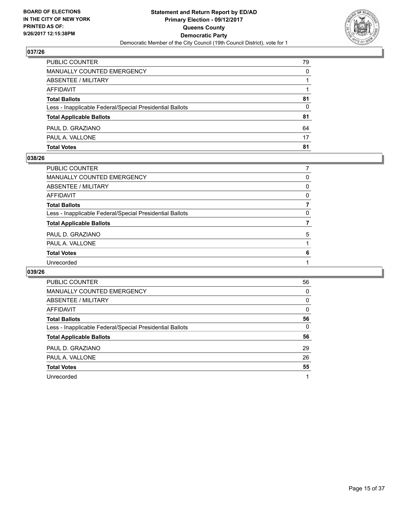

| <b>Total Votes</b>                                       | 81 |
|----------------------------------------------------------|----|
| PAUL A. VALLONE                                          | 17 |
| PAUL D. GRAZIANO                                         | 64 |
| <b>Total Applicable Ballots</b>                          | 81 |
| Less - Inapplicable Federal/Special Presidential Ballots | 0  |
| <b>Total Ballots</b>                                     | 81 |
| AFFIDAVIT                                                |    |
| ABSENTEE / MILITARY                                      |    |
| <b>MANUALLY COUNTED EMERGENCY</b>                        | 0  |
| PUBLIC COUNTER                                           | 79 |

## **038/26**

| <b>PUBLIC COUNTER</b>                                    |   |
|----------------------------------------------------------|---|
| <b>MANUALLY COUNTED EMERGENCY</b>                        | 0 |
| <b>ABSENTEE / MILITARY</b>                               | 0 |
| <b>AFFIDAVIT</b>                                         | 0 |
| <b>Total Ballots</b>                                     |   |
| Less - Inapplicable Federal/Special Presidential Ballots | 0 |
| <b>Total Applicable Ballots</b>                          |   |
| PAUL D. GRAZIANO                                         | 5 |
| PAUL A. VALLONE                                          |   |
| <b>Total Votes</b>                                       | 6 |
| Unrecorded                                               |   |
|                                                          |   |

| <b>PUBLIC COUNTER</b>                                    | 56       |
|----------------------------------------------------------|----------|
| <b>MANUALLY COUNTED EMERGENCY</b>                        | 0        |
| ABSENTEE / MILITARY                                      | 0        |
| AFFIDAVIT                                                | $\Omega$ |
| <b>Total Ballots</b>                                     | 56       |
| Less - Inapplicable Federal/Special Presidential Ballots | 0        |
| <b>Total Applicable Ballots</b>                          | 56       |
| PAUL D. GRAZIANO                                         | 29       |
| PAUL A. VALLONE                                          | 26       |
| <b>Total Votes</b>                                       | 55       |
| Unrecorded                                               | 1        |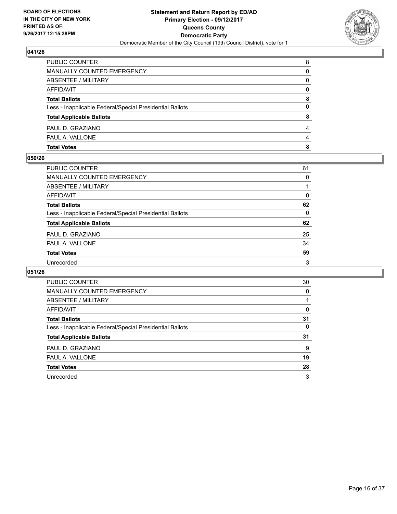

| <b>Total Votes</b>                                       | 8        |
|----------------------------------------------------------|----------|
| PAUL A. VALLONE                                          | 4        |
| PAUL D. GRAZIANO                                         | 4        |
| <b>Total Applicable Ballots</b>                          | 8        |
| Less - Inapplicable Federal/Special Presidential Ballots | 0        |
| <b>Total Ballots</b>                                     | 8        |
| <b>AFFIDAVIT</b>                                         | $\Omega$ |
| ABSENTEE / MILITARY                                      | 0        |
| <b>MANUALLY COUNTED EMERGENCY</b>                        | 0        |
| PUBLIC COUNTER                                           | 8        |

#### **050/26**

| <b>PUBLIC COUNTER</b>                                    | 61       |
|----------------------------------------------------------|----------|
| <b>MANUALLY COUNTED EMERGENCY</b>                        | 0        |
| <b>ABSENTEE / MILITARY</b>                               |          |
| <b>AFFIDAVIT</b>                                         | 0        |
| <b>Total Ballots</b>                                     | 62       |
| Less - Inapplicable Federal/Special Presidential Ballots | $\Omega$ |
| <b>Total Applicable Ballots</b>                          | 62       |
| PAUL D. GRAZIANO                                         | 25       |
| PAUL A. VALLONE                                          | 34       |
| <b>Total Votes</b>                                       | 59       |
| Unrecorded                                               | 3        |
|                                                          |          |

| <b>PUBLIC COUNTER</b>                                    | 30 |
|----------------------------------------------------------|----|
| <b>MANUALLY COUNTED EMERGENCY</b>                        | 0  |
| ABSENTEE / MILITARY                                      |    |
| AFFIDAVIT                                                | 0  |
| <b>Total Ballots</b>                                     | 31 |
| Less - Inapplicable Federal/Special Presidential Ballots | 0  |
| <b>Total Applicable Ballots</b>                          | 31 |
| PAUL D. GRAZIANO                                         | 9  |
| PAUL A. VALLONE                                          | 19 |
| <b>Total Votes</b>                                       | 28 |
| Unrecorded                                               | 3  |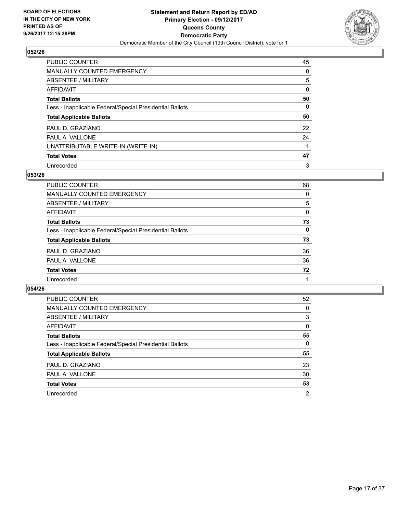

| PUBLIC COUNTER                                           | 45 |
|----------------------------------------------------------|----|
| <b>MANUALLY COUNTED EMERGENCY</b>                        | 0  |
| ABSENTEE / MILITARY                                      | 5  |
| AFFIDAVIT                                                | 0  |
| <b>Total Ballots</b>                                     | 50 |
| Less - Inapplicable Federal/Special Presidential Ballots | 0  |
| <b>Total Applicable Ballots</b>                          | 50 |
| PAUL D. GRAZIANO                                         | 22 |
| PAUL A. VALLONE                                          | 24 |
| UNATTRIBUTABLE WRITE-IN (WRITE-IN)                       |    |
| <b>Total Votes</b>                                       | 47 |
| Unrecorded                                               | 3  |

#### **053/26**

| PUBLIC COUNTER                                           | 68       |
|----------------------------------------------------------|----------|
| MANUALLY COUNTED EMERGENCY                               | 0        |
| ABSENTEE / MILITARY                                      | 5        |
| AFFIDAVIT                                                | $\Omega$ |
| <b>Total Ballots</b>                                     | 73       |
| Less - Inapplicable Federal/Special Presidential Ballots | $\Omega$ |
| <b>Total Applicable Ballots</b>                          | 73       |
| PAUL D. GRAZIANO                                         | 36       |
| PAUL A. VALLONE                                          | 36       |
| <b>Total Votes</b>                                       | 72       |
| Unrecorded                                               |          |

| PUBLIC COUNTER                                           | 52             |
|----------------------------------------------------------|----------------|
| <b>MANUALLY COUNTED EMERGENCY</b>                        | 0              |
| ABSENTEE / MILITARY                                      | 3              |
| AFFIDAVIT                                                | 0              |
| <b>Total Ballots</b>                                     | 55             |
| Less - Inapplicable Federal/Special Presidential Ballots | 0              |
| <b>Total Applicable Ballots</b>                          | 55             |
| PAUL D. GRAZIANO                                         | 23             |
| PAUL A. VALLONE                                          | 30             |
| <b>Total Votes</b>                                       | 53             |
| Unrecorded                                               | $\overline{2}$ |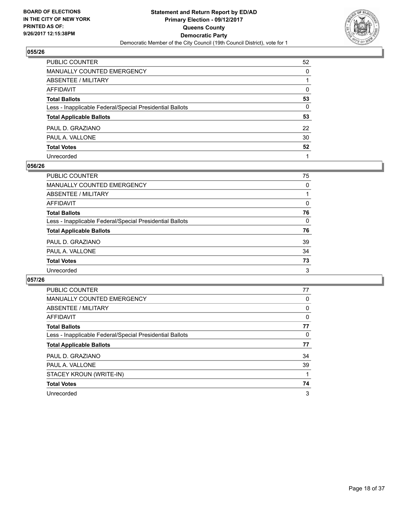

| PUBLIC COUNTER                                           | 52       |
|----------------------------------------------------------|----------|
| <b>MANUALLY COUNTED EMERGENCY</b>                        | $\Omega$ |
| ABSENTEE / MILITARY                                      |          |
| <b>AFFIDAVIT</b>                                         | $\Omega$ |
| <b>Total Ballots</b>                                     | 53       |
| Less - Inapplicable Federal/Special Presidential Ballots | 0        |
| <b>Total Applicable Ballots</b>                          | 53       |
| PAUL D. GRAZIANO                                         | 22       |
| PAUL A. VALLONE                                          | 30       |
| <b>Total Votes</b>                                       | 52       |
| Unrecorded                                               |          |

#### **056/26**

| <b>PUBLIC COUNTER</b>                                    | 75       |
|----------------------------------------------------------|----------|
| <b>MANUALLY COUNTED EMERGENCY</b>                        | $\Omega$ |
| ABSENTEE / MILITARY                                      |          |
| AFFIDAVIT                                                | 0        |
| <b>Total Ballots</b>                                     | 76       |
| Less - Inapplicable Federal/Special Presidential Ballots | $\Omega$ |
| <b>Total Applicable Ballots</b>                          | 76       |
| PAUL D. GRAZIANO                                         | 39       |
| PAUL A. VALLONE                                          | 34       |
| <b>Total Votes</b>                                       | 73       |
| Unrecorded                                               | 3        |

| <b>PUBLIC COUNTER</b>                                    | 77 |
|----------------------------------------------------------|----|
| MANUALLY COUNTED EMERGENCY                               | 0  |
| ABSENTEE / MILITARY                                      | 0  |
| AFFIDAVIT                                                | 0  |
| <b>Total Ballots</b>                                     | 77 |
| Less - Inapplicable Federal/Special Presidential Ballots | 0  |
| <b>Total Applicable Ballots</b>                          | 77 |
| PAUL D. GRAZIANO                                         | 34 |
| PAUL A. VALLONE                                          | 39 |
| STACEY KROUN (WRITE-IN)                                  |    |
| <b>Total Votes</b>                                       | 74 |
|                                                          |    |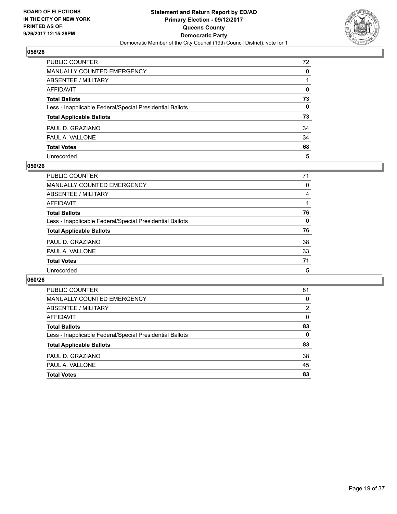

| PUBLIC COUNTER                                           | 72           |
|----------------------------------------------------------|--------------|
| MANUALLY COUNTED EMERGENCY                               | 0            |
| ABSENTEE / MILITARY                                      |              |
| <b>AFFIDAVIT</b>                                         | $\Omega$     |
| <b>Total Ballots</b>                                     | 73           |
| Less - Inapplicable Federal/Special Presidential Ballots | $\mathbf{0}$ |
| <b>Total Applicable Ballots</b>                          | 73           |
| PAUL D. GRAZIANO                                         | 34           |
| PAUL A. VALLONE                                          | 34           |
| <b>Total Votes</b>                                       | 68           |
| Unrecorded                                               | 5            |

#### **059/26**

| PUBLIC COUNTER                                           | 71 |
|----------------------------------------------------------|----|
| <b>MANUALLY COUNTED EMERGENCY</b>                        | 0  |
| ABSENTEE / MILITARY                                      | 4  |
| AFFIDAVIT                                                |    |
| <b>Total Ballots</b>                                     | 76 |
| Less - Inapplicable Federal/Special Presidential Ballots | 0  |
| <b>Total Applicable Ballots</b>                          | 76 |
| PAUL D. GRAZIANO                                         | 38 |
| PAUL A. VALLONE                                          | 33 |
| <b>Total Votes</b>                                       | 71 |
| Unrecorded                                               | 5  |

| <b>PUBLIC COUNTER</b>                                    | 81 |
|----------------------------------------------------------|----|
| MANUALLY COUNTED EMERGENCY                               | 0  |
| ABSENTEE / MILITARY                                      | 2  |
| AFFIDAVIT                                                | 0  |
| <b>Total Ballots</b>                                     | 83 |
| Less - Inapplicable Federal/Special Presidential Ballots | 0  |
| <b>Total Applicable Ballots</b>                          | 83 |
| PAUL D. GRAZIANO                                         | 38 |
| PAUL A. VALLONE                                          | 45 |
| <b>Total Votes</b>                                       | 83 |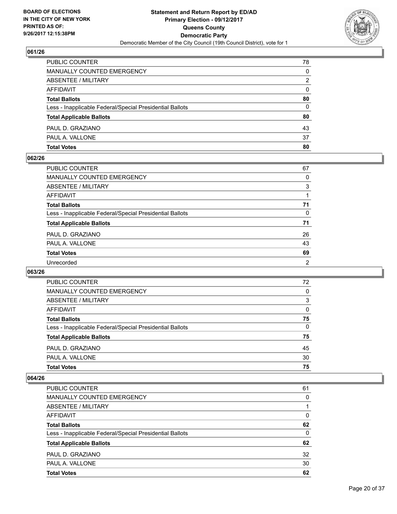

| <b>Total Votes</b>                                       | 80 |
|----------------------------------------------------------|----|
| PAUL A. VALLONE                                          | 37 |
| PAUL D. GRAZIANO                                         | 43 |
| <b>Total Applicable Ballots</b>                          | 80 |
| Less - Inapplicable Federal/Special Presidential Ballots | 0  |
| <b>Total Ballots</b>                                     | 80 |
| AFFIDAVIT                                                | 0  |
| ABSENTEE / MILITARY                                      | 2  |
| <b>MANUALLY COUNTED EMERGENCY</b>                        | 0  |
| PUBLIC COUNTER                                           | 78 |

#### **062/26**

| PUBLIC COUNTER                                           | 67             |
|----------------------------------------------------------|----------------|
| <b>MANUALLY COUNTED EMERGENCY</b>                        | 0              |
| ABSENTEE / MILITARY                                      | 3              |
| <b>AFFIDAVIT</b>                                         |                |
| <b>Total Ballots</b>                                     | 71             |
| Less - Inapplicable Federal/Special Presidential Ballots | $\Omega$       |
| <b>Total Applicable Ballots</b>                          | 71             |
| PAUL D. GRAZIANO                                         | 26             |
| PAUL A. VALLONE                                          | 43             |
| <b>Total Votes</b>                                       | 69             |
| Unrecorded                                               | $\overline{2}$ |
|                                                          |                |

## **063/26**

| <b>PUBLIC COUNTER</b>                                    | 72 |
|----------------------------------------------------------|----|
| <b>MANUALLY COUNTED EMERGENCY</b>                        | 0  |
| ABSENTEE / MILITARY                                      | 3  |
| AFFIDAVIT                                                | 0  |
| <b>Total Ballots</b>                                     | 75 |
| Less - Inapplicable Federal/Special Presidential Ballots | 0  |
| <b>Total Applicable Ballots</b>                          | 75 |
| PAUL D. GRAZIANO                                         | 45 |
| PAUL A. VALLONE                                          | 30 |
| <b>Total Votes</b>                                       | 75 |

| <b>PUBLIC COUNTER</b>                                    | 61 |
|----------------------------------------------------------|----|
| <b>MANUALLY COUNTED EMERGENCY</b>                        | 0  |
| ABSENTEE / MILITARY                                      |    |
| AFFIDAVIT                                                | 0  |
| <b>Total Ballots</b>                                     | 62 |
| Less - Inapplicable Federal/Special Presidential Ballots | 0  |
| <b>Total Applicable Ballots</b>                          | 62 |
| PAUL D. GRAZIANO                                         | 32 |
| PAUL A. VALLONE                                          | 30 |
| <b>Total Votes</b>                                       | 62 |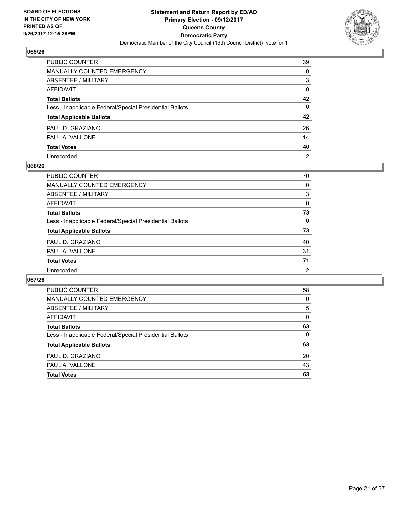

| PUBLIC COUNTER                                           | 39             |
|----------------------------------------------------------|----------------|
| MANUALLY COUNTED EMERGENCY                               | $\Omega$       |
| <b>ABSENTEE / MILITARY</b>                               | 3              |
| <b>AFFIDAVIT</b>                                         | $\mathbf{0}$   |
| <b>Total Ballots</b>                                     | 42             |
| Less - Inapplicable Federal/Special Presidential Ballots | 0              |
| <b>Total Applicable Ballots</b>                          | 42             |
| PAUL D. GRAZIANO                                         | 26             |
| PAUL A. VALLONE                                          | 14             |
| <b>Total Votes</b>                                       | 40             |
| Unrecorded                                               | $\overline{2}$ |

#### **066/26**

| <b>PUBLIC COUNTER</b>                                    | 70       |
|----------------------------------------------------------|----------|
| MANUALLY COUNTED EMERGENCY                               | 0        |
| ABSENTEE / MILITARY                                      | 3        |
| AFFIDAVIT                                                | $\Omega$ |
| <b>Total Ballots</b>                                     | 73       |
| Less - Inapplicable Federal/Special Presidential Ballots | 0        |
| <b>Total Applicable Ballots</b>                          | 73       |
| PAUL D. GRAZIANO                                         | 40       |
| PAUL A. VALLONE                                          | 31       |
| <b>Total Votes</b>                                       | 71       |
| Unrecorded                                               | 2        |

| <b>PUBLIC COUNTER</b>                                    | 58 |
|----------------------------------------------------------|----|
| MANUALLY COUNTED EMERGENCY                               | 0  |
| ABSENTEE / MILITARY                                      | 5  |
| AFFIDAVIT                                                | 0  |
| <b>Total Ballots</b>                                     | 63 |
| Less - Inapplicable Federal/Special Presidential Ballots | 0  |
| <b>Total Applicable Ballots</b>                          | 63 |
| PAUL D. GRAZIANO                                         | 20 |
| PAUL A. VALLONE                                          | 43 |
| <b>Total Votes</b>                                       | 63 |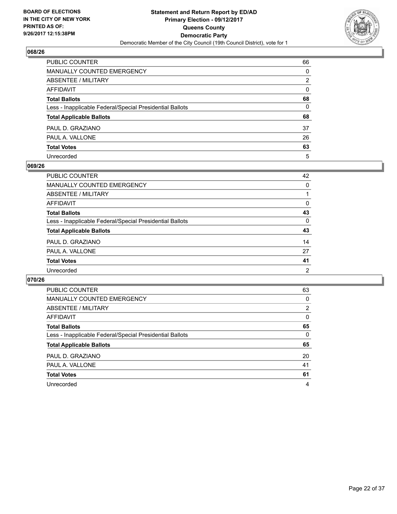

| PUBLIC COUNTER                                           | 66           |
|----------------------------------------------------------|--------------|
| <b>MANUALLY COUNTED EMERGENCY</b>                        | 0            |
| ABSENTEE / MILITARY                                      | 2            |
| <b>AFFIDAVIT</b>                                         | $\mathbf{0}$ |
| <b>Total Ballots</b>                                     | 68           |
| Less - Inapplicable Federal/Special Presidential Ballots | 0            |
| <b>Total Applicable Ballots</b>                          | 68           |
| PAUL D. GRAZIANO                                         | 37           |
| PAUL A. VALLONE                                          | 26           |
| <b>Total Votes</b>                                       | 63           |
| Unrecorded                                               | 5            |

#### **069/26**

| <b>PUBLIC COUNTER</b>                                    | 42             |
|----------------------------------------------------------|----------------|
| <b>MANUALLY COUNTED EMERGENCY</b>                        | $\Omega$       |
| ABSENTEE / MILITARY                                      |                |
| AFFIDAVIT                                                | 0              |
| <b>Total Ballots</b>                                     | 43             |
| Less - Inapplicable Federal/Special Presidential Ballots | $\Omega$       |
| <b>Total Applicable Ballots</b>                          | 43             |
| PAUL D. GRAZIANO                                         | 14             |
| PAUL A. VALLONE                                          | 27             |
| <b>Total Votes</b>                                       | 41             |
| Unrecorded                                               | $\overline{2}$ |

| <b>PUBLIC COUNTER</b>                                    | 63 |
|----------------------------------------------------------|----|
| <b>MANUALLY COUNTED EMERGENCY</b>                        | 0  |
| <b>ABSENTEE / MILITARY</b>                               | 2  |
| AFFIDAVIT                                                | 0  |
| <b>Total Ballots</b>                                     | 65 |
| Less - Inapplicable Federal/Special Presidential Ballots | 0  |
| <b>Total Applicable Ballots</b>                          | 65 |
| PAUL D. GRAZIANO                                         | 20 |
| PAUL A. VALLONE                                          | 41 |
| <b>Total Votes</b>                                       | 61 |
|                                                          |    |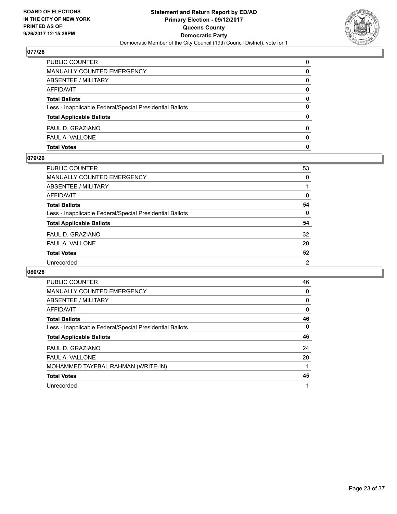

| <b>Total Votes</b>                                       | 0            |
|----------------------------------------------------------|--------------|
| PAUL A. VALLONE                                          | <sup>0</sup> |
| PAUL D. GRAZIANO                                         | 0            |
| <b>Total Applicable Ballots</b>                          | 0            |
| Less - Inapplicable Federal/Special Presidential Ballots | 0            |
| <b>Total Ballots</b>                                     | 0            |
| <b>AFFIDAVIT</b>                                         | $\Omega$     |
| ABSENTEE / MILITARY                                      | 0            |
| <b>MANUALLY COUNTED EMERGENCY</b>                        | 0            |
| PUBLIC COUNTER                                           | $\Omega$     |

## **079/26**

| <b>PUBLIC COUNTER</b>                                    | 53             |
|----------------------------------------------------------|----------------|
| <b>MANUALLY COUNTED EMERGENCY</b>                        | $\Omega$       |
| <b>ABSENTEE / MILITARY</b>                               |                |
| <b>AFFIDAVIT</b>                                         | 0              |
| <b>Total Ballots</b>                                     | 54             |
| Less - Inapplicable Federal/Special Presidential Ballots | $\Omega$       |
| <b>Total Applicable Ballots</b>                          | 54             |
| PAUL D. GRAZIANO                                         | 32             |
| PAUL A. VALLONE                                          | 20             |
| <b>Total Votes</b>                                       | 52             |
| Unrecorded                                               | $\overline{2}$ |
|                                                          |                |

| <b>PUBLIC COUNTER</b>                                    | 46 |
|----------------------------------------------------------|----|
| <b>MANUALLY COUNTED EMERGENCY</b>                        | 0  |
| <b>ABSENTEE / MILITARY</b>                               | 0  |
| <b>AFFIDAVIT</b>                                         | 0  |
| <b>Total Ballots</b>                                     | 46 |
| Less - Inapplicable Federal/Special Presidential Ballots | 0  |
| <b>Total Applicable Ballots</b>                          | 46 |
| PAUL D. GRAZIANO                                         | 24 |
| PAUL A. VALLONE                                          | 20 |
| MOHAMMED TAYEBAL RAHMAN (WRITE-IN)                       |    |
| <b>Total Votes</b>                                       | 45 |
| Unrecorded                                               | 1  |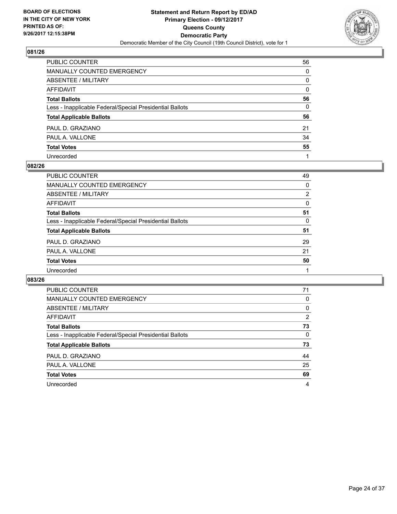

| PUBLIC COUNTER                                           | 56           |
|----------------------------------------------------------|--------------|
| MANUALLY COUNTED EMERGENCY                               | $\Omega$     |
| ABSENTEE / MILITARY                                      | 0            |
| AFFIDAVIT                                                | $\mathbf{0}$ |
| Total Ballots                                            | 56           |
| Less - Inapplicable Federal/Special Presidential Ballots | $\mathbf{0}$ |
| <b>Total Applicable Ballots</b>                          | 56           |
| PAUL D. GRAZIANO                                         | 21           |
| PAUL A. VALLONE                                          | 34           |
| <b>Total Votes</b>                                       | 55           |
| Unrecorded                                               |              |

#### **082/26**

| PUBLIC COUNTER                                           | 49 |
|----------------------------------------------------------|----|
| MANUALLY COUNTED EMERGENCY                               | 0  |
| ABSENTEE / MILITARY                                      | 2  |
| AFFIDAVIT                                                | 0  |
| <b>Total Ballots</b>                                     | 51 |
| Less - Inapplicable Federal/Special Presidential Ballots | 0  |
| <b>Total Applicable Ballots</b>                          | 51 |
| PAUL D. GRAZIANO                                         | 29 |
| PAUL A. VALLONE                                          | 21 |
| <b>Total Votes</b>                                       | 50 |
| Unrecorded                                               |    |

| <b>PUBLIC COUNTER</b>                                    | 71 |
|----------------------------------------------------------|----|
| <b>MANUALLY COUNTED EMERGENCY</b>                        | 0  |
| <b>ABSENTEE / MILITARY</b>                               | 0  |
| AFFIDAVIT                                                | 2  |
| <b>Total Ballots</b>                                     | 73 |
| Less - Inapplicable Federal/Special Presidential Ballots | 0  |
| <b>Total Applicable Ballots</b>                          | 73 |
| PAUL D. GRAZIANO                                         | 44 |
| PAUL A. VALLONE                                          | 25 |
| <b>Total Votes</b>                                       | 69 |
| Unrecorded                                               | 4  |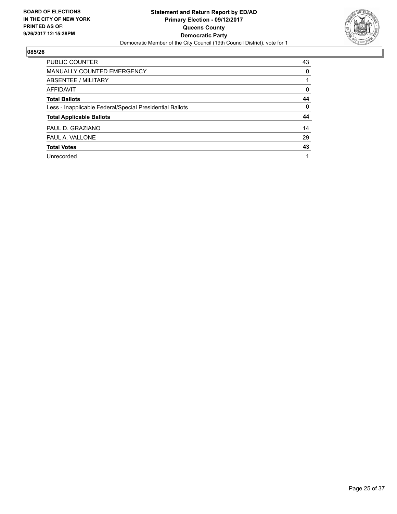

| <b>PUBLIC COUNTER</b>                                    | 43 |
|----------------------------------------------------------|----|
| <b>MANUALLY COUNTED EMERGENCY</b>                        | 0  |
| ABSENTEE / MILITARY                                      |    |
| AFFIDAVIT                                                | 0  |
| <b>Total Ballots</b>                                     | 44 |
| Less - Inapplicable Federal/Special Presidential Ballots | 0  |
| <b>Total Applicable Ballots</b>                          | 44 |
| PAUL D. GRAZIANO                                         | 14 |
| PAUL A. VALLONE                                          | 29 |
| <b>Total Votes</b>                                       | 43 |
| Unrecorded                                               |    |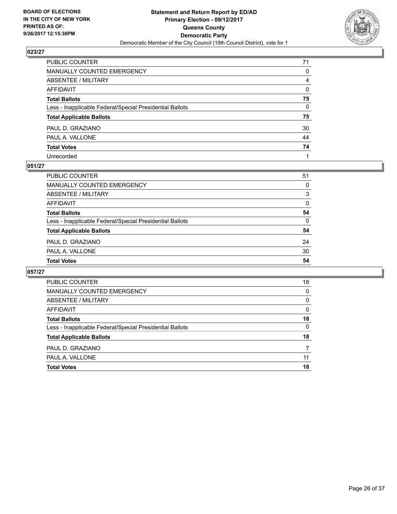

| PUBLIC COUNTER                                           | 71           |
|----------------------------------------------------------|--------------|
| MANUALLY COUNTED EMERGENCY                               | 0            |
| ABSENTEE / MILITARY                                      | 4            |
| AFFIDAVIT                                                | $\mathbf{0}$ |
| Total Ballots                                            | 75           |
| Less - Inapplicable Federal/Special Presidential Ballots | $\mathbf{0}$ |
| <b>Total Applicable Ballots</b>                          | 75           |
| PAUL D. GRAZIANO                                         | 30           |
| PAUL A. VALLONE                                          | 44           |
| <b>Total Votes</b>                                       | 74           |
| Unrecorded                                               |              |

#### **051/27**

| <b>Total Votes</b>                                       | 54 |
|----------------------------------------------------------|----|
|                                                          |    |
| PAUL A. VALLONE                                          | 30 |
| PAUL D. GRAZIANO                                         | 24 |
| <b>Total Applicable Ballots</b>                          | 54 |
| Less - Inapplicable Federal/Special Presidential Ballots | 0  |
| <b>Total Ballots</b>                                     | 54 |
| AFFIDAVIT                                                | 0  |
| ABSENTEE / MILITARY                                      | 3  |
| MANUALLY COUNTED EMERGENCY                               | 0  |
| PUBLIC COUNTER                                           | 51 |

| <b>PUBLIC COUNTER</b>                                    | 18 |
|----------------------------------------------------------|----|
| <b>MANUALLY COUNTED EMERGENCY</b>                        | 0  |
| ABSENTEE / MILITARY                                      | 0  |
| AFFIDAVIT                                                | 0  |
| <b>Total Ballots</b>                                     | 18 |
| Less - Inapplicable Federal/Special Presidential Ballots | 0  |
| <b>Total Applicable Ballots</b>                          | 18 |
| PAUL D. GRAZIANO                                         |    |
| PAUL A. VALLONE                                          | 11 |
| <b>Total Votes</b>                                       | 18 |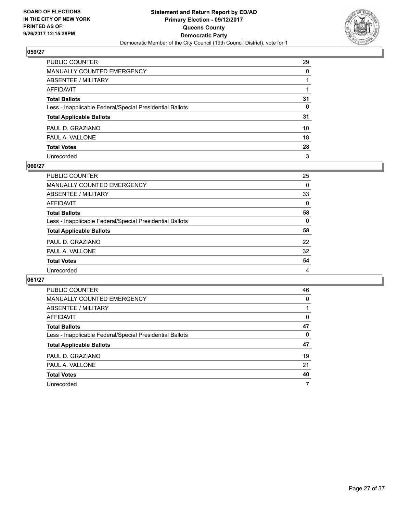

| PUBLIC COUNTER                                           | 29 |
|----------------------------------------------------------|----|
| MANUALLY COUNTED EMERGENCY                               | 0  |
| ABSENTEE / MILITARY                                      |    |
| AFFIDAVIT                                                |    |
| Total Ballots                                            | 31 |
| Less - Inapplicable Federal/Special Presidential Ballots | 0  |
| <b>Total Applicable Ballots</b>                          | 31 |
| PAUL D. GRAZIANO                                         | 10 |
| PAUL A. VALLONE                                          | 18 |
| <b>Total Votes</b>                                       | 28 |
| Unrecorded                                               | 3  |

#### **060/27**

| PUBLIC COUNTER                                           | 25       |
|----------------------------------------------------------|----------|
| MANUALLY COUNTED EMERGENCY                               | 0        |
| ABSENTEE / MILITARY                                      | 33       |
| AFFIDAVIT                                                | $\Omega$ |
| <b>Total Ballots</b>                                     | 58       |
| Less - Inapplicable Federal/Special Presidential Ballots | $\Omega$ |
| <b>Total Applicable Ballots</b>                          | 58       |
| PAUL D. GRAZIANO                                         | 22       |
| PAUL A. VALLONE                                          | 32       |
| <b>Total Votes</b>                                       | 54       |
| Unrecorded                                               | 4        |

| <b>PUBLIC COUNTER</b>                                    | 46 |
|----------------------------------------------------------|----|
| <b>MANUALLY COUNTED EMERGENCY</b>                        | 0  |
| ABSENTEE / MILITARY                                      |    |
| AFFIDAVIT                                                | 0  |
| <b>Total Ballots</b>                                     | 47 |
| Less - Inapplicable Federal/Special Presidential Ballots | 0  |
| <b>Total Applicable Ballots</b>                          | 47 |
| PAUL D. GRAZIANO                                         | 19 |
| PAUL A. VALLONE                                          | 21 |
| <b>Total Votes</b>                                       | 40 |
| Unrecorded                                               | 7  |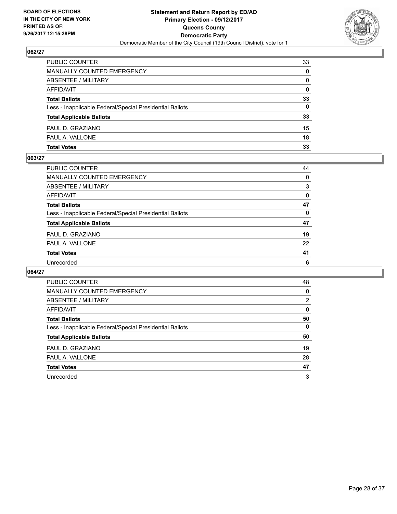

| <b>Total Votes</b>                                       | 33           |
|----------------------------------------------------------|--------------|
| PAUL A. VALLONE                                          | 18           |
| PAUL D. GRAZIANO                                         | 15           |
| <b>Total Applicable Ballots</b>                          | 33           |
| Less - Inapplicable Federal/Special Presidential Ballots | 0            |
| <b>Total Ballots</b>                                     | 33           |
| AFFIDAVIT                                                | $\Omega$     |
| <b>ABSENTEE / MILITARY</b>                               | $\mathbf{0}$ |
| MANUALLY COUNTED EMERGENCY                               | $\Omega$     |
| PUBLIC COUNTER                                           | 33           |

#### **063/27**

| <b>PUBLIC COUNTER</b>                                    | 44       |
|----------------------------------------------------------|----------|
| <b>MANUALLY COUNTED EMERGENCY</b>                        | $\Omega$ |
| <b>ABSENTEE / MILITARY</b>                               | 3        |
| <b>AFFIDAVIT</b>                                         | 0        |
| <b>Total Ballots</b>                                     | 47       |
| Less - Inapplicable Federal/Special Presidential Ballots | $\Omega$ |
| <b>Total Applicable Ballots</b>                          | 47       |
| PAUL D. GRAZIANO                                         | 19       |
| PAUL A. VALLONE                                          | 22       |
| <b>Total Votes</b>                                       | 41       |
| Unrecorded                                               | 6        |
|                                                          |          |

| <b>PUBLIC COUNTER</b>                                    | 48 |
|----------------------------------------------------------|----|
| <b>MANUALLY COUNTED EMERGENCY</b>                        | 0  |
| ABSENTEE / MILITARY                                      | 2  |
| <b>AFFIDAVIT</b>                                         | 0  |
| <b>Total Ballots</b>                                     | 50 |
| Less - Inapplicable Federal/Special Presidential Ballots | 0  |
| <b>Total Applicable Ballots</b>                          | 50 |
| PAUL D. GRAZIANO                                         | 19 |
| PAUL A. VALLONE                                          | 28 |
| <b>Total Votes</b>                                       | 47 |
| Unrecorded                                               | 3  |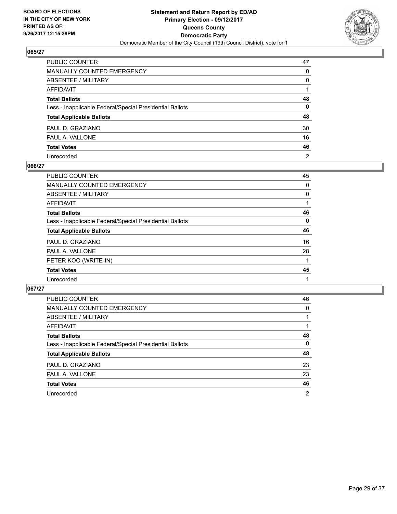

| PUBLIC COUNTER                                           | 47           |
|----------------------------------------------------------|--------------|
| MANUALLY COUNTED EMERGENCY                               | 0            |
| ABSENTEE / MILITARY                                      | $\mathbf{0}$ |
| AFFIDAVIT                                                |              |
| Total Ballots                                            | 48           |
| Less - Inapplicable Federal/Special Presidential Ballots | 0            |
| <b>Total Applicable Ballots</b>                          | 48           |
| PAUL D. GRAZIANO                                         | 30           |
| PAUL A. VALLONE                                          | 16           |
| <b>Total Votes</b>                                       | 46           |
| Unrecorded                                               | 2            |

#### **066/27**

| PUBLIC COUNTER                                           | 45 |
|----------------------------------------------------------|----|
| MANUALLY COUNTED EMERGENCY                               | 0  |
| ABSENTEE / MILITARY                                      | 0  |
| AFFIDAVIT                                                |    |
| <b>Total Ballots</b>                                     | 46 |
| Less - Inapplicable Federal/Special Presidential Ballots | 0  |
| <b>Total Applicable Ballots</b>                          | 46 |
| PAUL D. GRAZIANO                                         | 16 |
| PAUL A. VALLONE                                          | 28 |
| PETER KOO (WRITE-IN)                                     |    |
| <b>Total Votes</b>                                       | 45 |
| Unrecorded                                               |    |

| <b>PUBLIC COUNTER</b>                                    | 46             |
|----------------------------------------------------------|----------------|
| <b>MANUALLY COUNTED EMERGENCY</b>                        | 0              |
| ABSENTEE / MILITARY                                      |                |
| AFFIDAVIT                                                |                |
| <b>Total Ballots</b>                                     | 48             |
| Less - Inapplicable Federal/Special Presidential Ballots | 0              |
| <b>Total Applicable Ballots</b>                          | 48             |
| PAUL D. GRAZIANO                                         | 23             |
| PAUL A. VALLONE                                          | 23             |
| <b>Total Votes</b>                                       | 46             |
| Unrecorded                                               | $\overline{2}$ |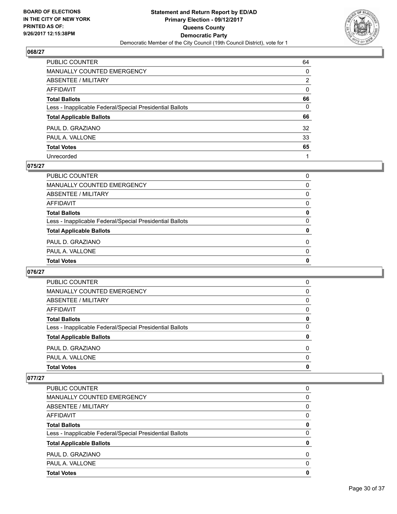

| PUBLIC COUNTER                                           | 64           |
|----------------------------------------------------------|--------------|
| MANUALLY COUNTED EMERGENCY                               | $\mathbf{0}$ |
| ABSENTEE / MILITARY                                      | 2            |
| AFFIDAVIT                                                | $\mathbf{0}$ |
| Total Ballots                                            | 66           |
| Less - Inapplicable Federal/Special Presidential Ballots | $\mathbf{0}$ |
| <b>Total Applicable Ballots</b>                          | 66           |
| PAUL D. GRAZIANO                                         | 32           |
| PAUL A. VALLONE                                          | 33           |
| <b>Total Votes</b>                                       | 65           |
| Unrecorded                                               |              |

## **075/27**

| <b>Total Votes</b>                                       | 0        |
|----------------------------------------------------------|----------|
| PAUL A. VALLONE                                          | 0        |
| PAUL D. GRAZIANO                                         | $\Omega$ |
| <b>Total Applicable Ballots</b>                          | 0        |
| Less - Inapplicable Federal/Special Presidential Ballots | 0        |
| <b>Total Ballots</b>                                     | 0        |
| AFFIDAVIT                                                | 0        |
| ABSENTEE / MILITARY                                      | 0        |
| MANUALLY COUNTED EMERGENCY                               | 0        |
| PUBLIC COUNTER                                           | $\Omega$ |

## **076/27**

| PUBLIC COUNTER                                           | 0        |
|----------------------------------------------------------|----------|
| MANUALLY COUNTED EMERGENCY                               | 0        |
| ABSENTEE / MILITARY                                      | 0        |
| AFFIDAVIT                                                | $\Omega$ |
| <b>Total Ballots</b>                                     | 0        |
| Less - Inapplicable Federal/Special Presidential Ballots | $\Omega$ |
| <b>Total Applicable Ballots</b>                          | 0        |
| PAUL D. GRAZIANO                                         | 0        |
| PAUL A. VALLONE                                          | $\Omega$ |
| <b>Total Votes</b>                                       | 0        |

| <b>PUBLIC COUNTER</b>                                    | 0        |
|----------------------------------------------------------|----------|
| <b>MANUALLY COUNTED EMERGENCY</b>                        | 0        |
| <b>ABSENTEE / MILITARY</b>                               | 0        |
| AFFIDAVIT                                                | 0        |
| <b>Total Ballots</b>                                     | 0        |
| Less - Inapplicable Federal/Special Presidential Ballots | 0        |
| <b>Total Applicable Ballots</b>                          | 0        |
| PAUL D. GRAZIANO                                         | $\Omega$ |
| PAUL A. VALLONE                                          | $\Omega$ |
| <b>Total Votes</b>                                       | 0        |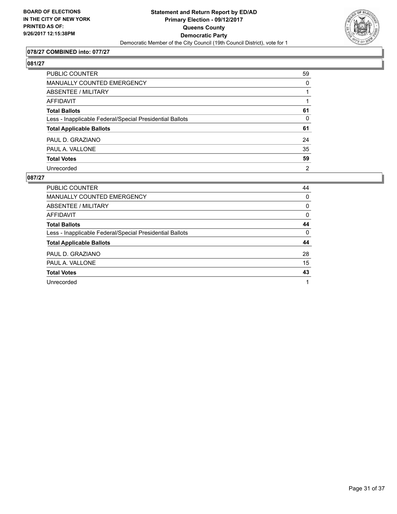

## **078/27 COMBINED into: 077/27**

# **081/27**

| PUBLIC COUNTER                                           | 59             |
|----------------------------------------------------------|----------------|
| <b>MANUALLY COUNTED EMERGENCY</b>                        | 0              |
| <b>ABSENTEE / MILITARY</b>                               |                |
| <b>AFFIDAVIT</b>                                         |                |
| <b>Total Ballots</b>                                     | 61             |
| Less - Inapplicable Federal/Special Presidential Ballots | $\Omega$       |
| <b>Total Applicable Ballots</b>                          | 61             |
| PAUL D. GRAZIANO                                         | 24             |
| PAUL A. VALLONE                                          | 35             |
| <b>Total Votes</b>                                       | 59             |
| Unrecorded                                               | $\overline{2}$ |

| <b>PUBLIC COUNTER</b>                                    | 44 |
|----------------------------------------------------------|----|
| <b>MANUALLY COUNTED EMERGENCY</b>                        | 0  |
| ABSENTEE / MILITARY                                      | 0  |
| AFFIDAVIT                                                | 0  |
| <b>Total Ballots</b>                                     | 44 |
| Less - Inapplicable Federal/Special Presidential Ballots | 0  |
| <b>Total Applicable Ballots</b>                          | 44 |
| PAUL D. GRAZIANO                                         | 28 |
| PAUL A. VALLONE                                          | 15 |
| <b>Total Votes</b>                                       | 43 |
| Unrecorded                                               | 1  |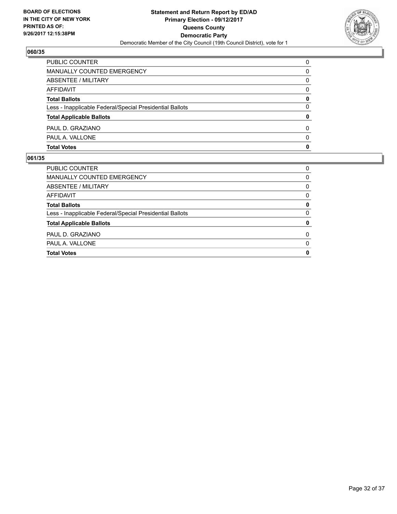

| <b>PUBLIC COUNTER</b>                                    | 0        |
|----------------------------------------------------------|----------|
| MANUALLY COUNTED EMERGENCY                               | 0        |
| <b>ABSENTEE / MILITARY</b>                               | 0        |
| AFFIDAVIT                                                | 0        |
| <b>Total Ballots</b>                                     | 0        |
| Less - Inapplicable Federal/Special Presidential Ballots | 0        |
| <b>Total Applicable Ballots</b>                          | 0        |
| PAUL D. GRAZIANO                                         | $\Omega$ |
| PAUL A. VALLONE                                          | $\Omega$ |
| <b>Total Votes</b>                                       | 0        |

| <b>Total Votes</b>                                       | 0        |
|----------------------------------------------------------|----------|
| PAUL A. VALLONE                                          | 0        |
| PAUL D. GRAZIANO                                         | $\Omega$ |
| <b>Total Applicable Ballots</b>                          | 0        |
| Less - Inapplicable Federal/Special Presidential Ballots | 0        |
| <b>Total Ballots</b>                                     | 0        |
| AFFIDAVIT                                                | 0        |
| ABSENTEE / MILITARY                                      | 0        |
| MANUALLY COUNTED EMERGENCY                               | 0        |
| PUBLIC COUNTER                                           | 0        |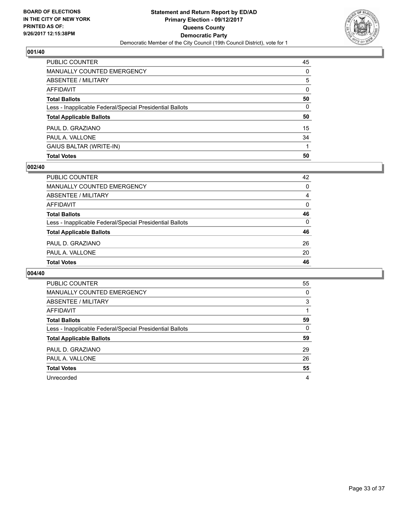

| PUBLIC COUNTER                                           | 45           |
|----------------------------------------------------------|--------------|
| <b>MANUALLY COUNTED EMERGENCY</b>                        | 0            |
| <b>ABSENTEE / MILITARY</b>                               | 5            |
| <b>AFFIDAVIT</b>                                         | $\Omega$     |
| <b>Total Ballots</b>                                     | 50           |
| Less - Inapplicable Federal/Special Presidential Ballots | $\mathbf{0}$ |
| <b>Total Applicable Ballots</b>                          | 50           |
| PAUL D. GRAZIANO                                         | 15           |
| PAUL A. VALLONE                                          | 34           |
| GAIUS BALTAR (WRITE-IN)                                  |              |
| <b>Total Votes</b>                                       | 50           |

## **002/40**

| PUBLIC COUNTER                                           | 42 |
|----------------------------------------------------------|----|
| <b>MANUALLY COUNTED EMERGENCY</b>                        | 0  |
| ABSENTEE / MILITARY                                      | 4  |
| AFFIDAVIT                                                | 0  |
| <b>Total Ballots</b>                                     | 46 |
| Less - Inapplicable Federal/Special Presidential Ballots | 0  |
| <b>Total Applicable Ballots</b>                          | 46 |
| PAUL D. GRAZIANO                                         | 26 |
| PAUL A. VALLONE                                          | 20 |
| <b>Total Votes</b>                                       | 46 |
|                                                          |    |

| <b>PUBLIC COUNTER</b>                                    | 55 |
|----------------------------------------------------------|----|
| <b>MANUALLY COUNTED EMERGENCY</b>                        | 0  |
| ABSENTEE / MILITARY                                      | 3  |
| AFFIDAVIT                                                |    |
| <b>Total Ballots</b>                                     | 59 |
| Less - Inapplicable Federal/Special Presidential Ballots | 0  |
| <b>Total Applicable Ballots</b>                          | 59 |
| PAUL D. GRAZIANO                                         | 29 |
| PAUL A. VALLONE                                          | 26 |
| <b>Total Votes</b>                                       | 55 |
|                                                          |    |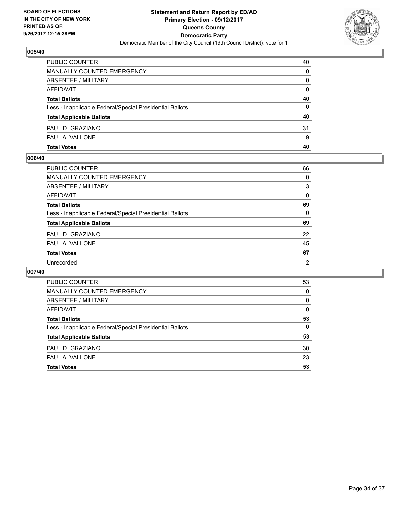

| PUBLIC COUNTER                                           | 40       |
|----------------------------------------------------------|----------|
| MANUALLY COUNTED EMERGENCY                               | 0        |
| ABSENTEE / MILITARY                                      | 0        |
| AFFIDAVIT                                                | $\Omega$ |
| <b>Total Ballots</b>                                     | 40       |
| Less - Inapplicable Federal/Special Presidential Ballots | 0        |
| <b>Total Applicable Ballots</b>                          | 40       |
| PAUL D. GRAZIANO                                         | 31       |
| PAUL A. VALLONE                                          | 9        |
| <b>Total Votes</b>                                       | 40       |

#### **006/40**

| PUBLIC COUNTER                                           | 66             |
|----------------------------------------------------------|----------------|
| <b>MANUALLY COUNTED EMERGENCY</b>                        | $\Omega$       |
| ABSENTEE / MILITARY                                      | 3              |
| <b>AFFIDAVIT</b>                                         | 0              |
| <b>Total Ballots</b>                                     | 69             |
| Less - Inapplicable Federal/Special Presidential Ballots | $\Omega$       |
| <b>Total Applicable Ballots</b>                          | 69             |
| PAUL D. GRAZIANO                                         | 22             |
| PAUL A. VALLONE                                          | 45             |
| <b>Total Votes</b>                                       | 67             |
| Unrecorded                                               | $\overline{2}$ |
|                                                          |                |

| PUBLIC COUNTER                                           | 53 |
|----------------------------------------------------------|----|
| MANUALLY COUNTED EMERGENCY                               | 0  |
| ABSENTEE / MILITARY                                      | 0  |
| AFFIDAVIT                                                | 0  |
| <b>Total Ballots</b>                                     | 53 |
| Less - Inapplicable Federal/Special Presidential Ballots | 0  |
| <b>Total Applicable Ballots</b>                          | 53 |
| PAUL D. GRAZIANO                                         | 30 |
| PAUL A. VALLONE                                          | 23 |
| <b>Total Votes</b>                                       | 53 |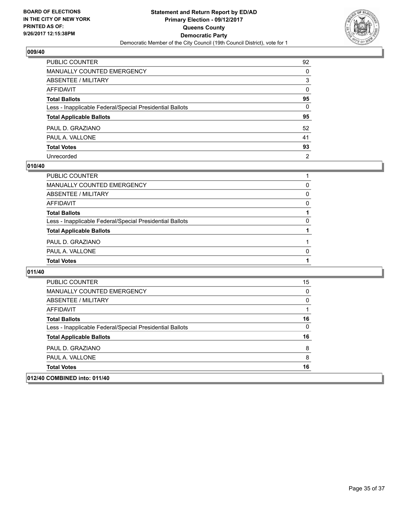

| PUBLIC COUNTER                                           | 92             |
|----------------------------------------------------------|----------------|
| <b>MANUALLY COUNTED EMERGENCY</b>                        | $\Omega$       |
| ABSENTEE / MILITARY                                      | 3              |
| <b>AFFIDAVIT</b>                                         | $\mathbf{0}$   |
| <b>Total Ballots</b>                                     | 95             |
| Less - Inapplicable Federal/Special Presidential Ballots | $\mathbf{0}$   |
| <b>Total Applicable Ballots</b>                          | 95             |
| PAUL D. GRAZIANO                                         | 52             |
| PAUL A. VALLONE                                          | 41             |
| <b>Total Votes</b>                                       | 93             |
| Unrecorded                                               | $\overline{2}$ |

#### **010/40**

| <b>PUBLIC COUNTER</b>                                    |   |
|----------------------------------------------------------|---|
| MANUALLY COUNTED EMERGENCY                               | 0 |
| ABSENTEE / MILITARY                                      | 0 |
| AFFIDAVIT                                                | 0 |
| <b>Total Ballots</b>                                     |   |
| Less - Inapplicable Federal/Special Presidential Ballots | 0 |
| <b>Total Applicable Ballots</b>                          |   |
| PAUL D. GRAZIANO                                         |   |
| PAUL A. VALLONE                                          | 0 |
| <b>Total Votes</b>                                       |   |
|                                                          |   |

| 012/40 COMBINED into: 011/40                             |    |
|----------------------------------------------------------|----|
| <b>Total Votes</b>                                       | 16 |
| PAUL A. VALLONE                                          | 8  |
| PAUL D. GRAZIANO                                         | 8  |
| <b>Total Applicable Ballots</b>                          | 16 |
| Less - Inapplicable Federal/Special Presidential Ballots | 0  |
| <b>Total Ballots</b>                                     | 16 |
| AFFIDAVIT                                                |    |
| ABSENTEE / MILITARY                                      | 0  |
| MANUALLY COUNTED EMERGENCY                               | 0  |
| <b>PUBLIC COUNTER</b>                                    | 15 |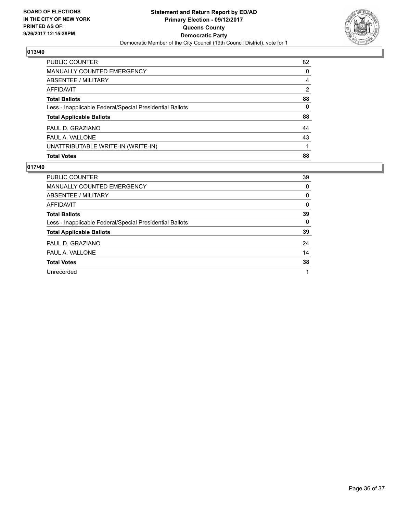

| <b>Total Votes</b>                                       | 88 |
|----------------------------------------------------------|----|
| UNATTRIBUTABLE WRITE-IN (WRITE-IN)                       |    |
| PAUL A. VALLONE                                          | 43 |
| PAUL D. GRAZIANO                                         | 44 |
| <b>Total Applicable Ballots</b>                          | 88 |
| Less - Inapplicable Federal/Special Presidential Ballots | 0  |
| <b>Total Ballots</b>                                     | 88 |
| AFFIDAVIT                                                | 2  |
| ABSENTEE / MILITARY                                      | 4  |
| <b>MANUALLY COUNTED EMERGENCY</b>                        | 0  |
| PUBLIC COUNTER                                           | 82 |

| <b>PUBLIC COUNTER</b>                                    | 39 |
|----------------------------------------------------------|----|
| <b>MANUALLY COUNTED EMERGENCY</b>                        | 0  |
| ABSENTEE / MILITARY                                      | 0  |
| AFFIDAVIT                                                | 0  |
| <b>Total Ballots</b>                                     | 39 |
| Less - Inapplicable Federal/Special Presidential Ballots | 0  |
| <b>Total Applicable Ballots</b>                          | 39 |
| PAUL D. GRAZIANO                                         | 24 |
| PAUL A. VALLONE                                          | 14 |
| <b>Total Votes</b>                                       | 38 |
| Unrecorded                                               | 1  |